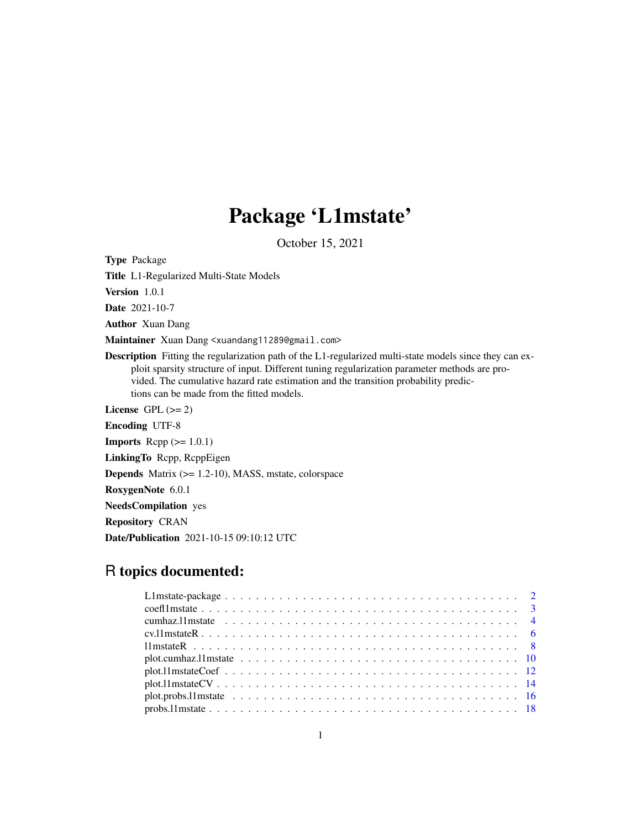# Package 'L1mstate'

October 15, 2021

Type Package

Title L1-Regularized Multi-State Models

Version 1.0.1

Date 2021-10-7

Author Xuan Dang

Maintainer Xuan Dang <xuandang11289@gmail.com>

Description Fitting the regularization path of the L1-regularized multi-state models since they can exploit sparsity structure of input. Different tuning regularization parameter methods are provided. The cumulative hazard rate estimation and the transition probability predictions can be made from the fitted models.

License GPL  $(>= 2)$ 

Encoding UTF-8

**Imports** Rcpp  $(>= 1.0.1)$ 

LinkingTo Rcpp, RcppEigen

Depends Matrix (>= 1.2-10), MASS, mstate, colorspace

RoxygenNote 6.0.1

NeedsCompilation yes

Repository CRAN

Date/Publication 2021-10-15 09:10:12 UTC

# R topics documented:

| $plot.11mstateCV \ldots \ldots \ldots \ldots \ldots \ldots \ldots \ldots \ldots \ldots \ldots \ldots \ldots 14$ |  |
|-----------------------------------------------------------------------------------------------------------------|--|
|                                                                                                                 |  |
|                                                                                                                 |  |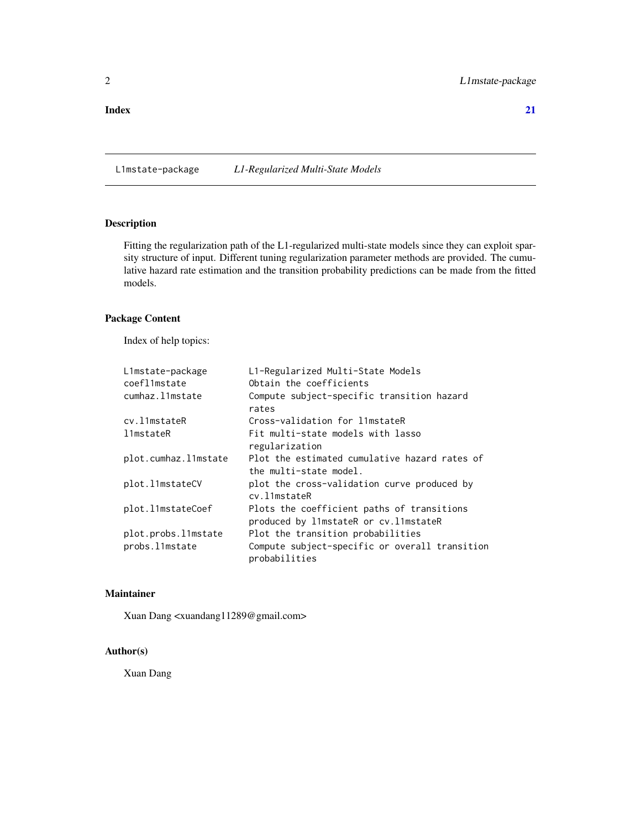#### <span id="page-1-0"></span>**Index** [21](#page-20-0)

L1mstate-package *L1-Regularized Multi-State Models*

# Description

Fitting the regularization path of the L1-regularized multi-state models since they can exploit sparsity structure of input. Different tuning regularization parameter methods are provided. The cumulative hazard rate estimation and the transition probability predictions can be made from the fitted models.

# Package Content

Index of help topics:

| L1mstate-package     | L1-Regularized Multi-State Models                                                    |
|----------------------|--------------------------------------------------------------------------------------|
| coefl1mstate         | Obtain the coefficients                                                              |
| cumhaz.l1mstate      | Compute subject-specific transition hazard<br>rates                                  |
| cv.l1mstateR         | Cross-validation for limstateR                                                       |
| l1mstateR            | Fit multi-state models with lasso                                                    |
|                      | regularization                                                                       |
| plot.cumhaz.l1mstate | Plot the estimated cumulative hazard rates of<br>the multi-state model.              |
| plot.11mstateCV      | plot the cross-validation curve produced by<br>cv.11mstateR                          |
| plot.l1mstateCoef    | Plots the coefficient paths of transitions<br>produced by l1mstateR or cv. l1mstateR |
| plot.probs.l1mstate  | Plot the transition probabilities                                                    |
| probs.l1mstate       | Compute subject-specific or overall transition<br>probabilities                      |

# Maintainer

Xuan Dang <xuandang11289@gmail.com>

# Author(s)

Xuan Dang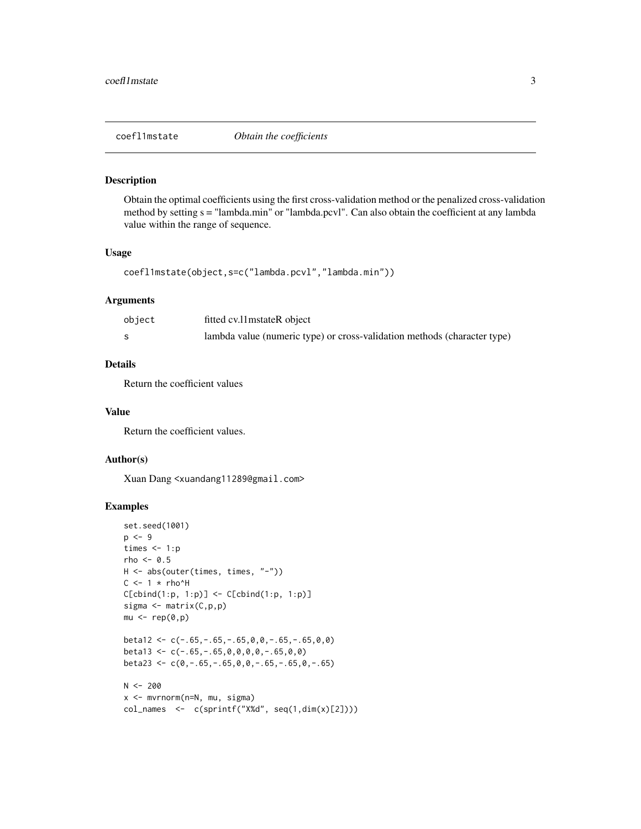<span id="page-2-0"></span>

# Description

Obtain the optimal coefficients using the first cross-validation method or the penalized cross-validation method by setting s = "lambda.min" or "lambda.pcvl". Can also obtain the coefficient at any lambda value within the range of sequence.

### Usage

```
coefl1mstate(object,s=c("lambda.pcvl","lambda.min"))
```
# Arguments

| object | fitted cv.11 mstateR object                                              |
|--------|--------------------------------------------------------------------------|
|        | lambda value (numeric type) or cross-validation methods (character type) |

# Details

Return the coefficient values

#### Value

Return the coefficient values.

### Author(s)

Xuan Dang <xuandang11289@gmail.com>

```
set.seed(1001)
p \le -9times <-1:prho <-0.5H <- abs(outer(times, times, "-"))
C < -1 * rho^H
C[cbind(1:p, 1:p)] \leftarrow C[cbind(1:p, 1:p)]sigma <- matrix(C,p,p)
mu < - rep(0,p)beta12 <- c(-.65,-.65,-.65,0,0,-.65,-.65,0,0)
beta13 <- c(-.65,-.65,0,0,0,0,-.65,0,0)
beta23 <- c(0,-.65,-.65,0,0,-.65,-.65,0,-.65)
N < -200x <- mvrnorm(n=N, mu, sigma)
col_names <- c(sprintf("X%d", seq(1,dim(x)[2])))
```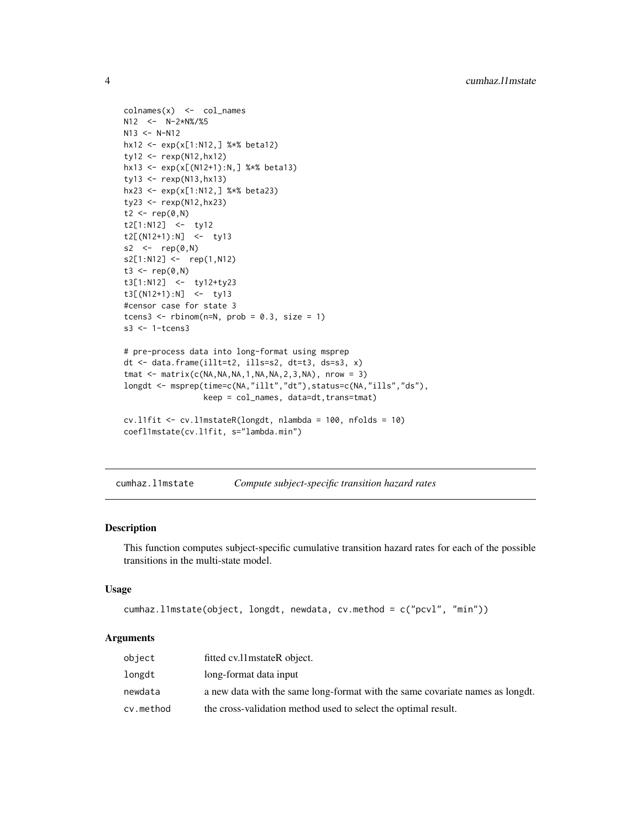```
\text{colnames}(x) \leq \text{col_names}N12 <- N-2*N%/%5
N13 <- N-N12hx12 <- exp(x[1:N12,] %*% beta12)
ty12 <- rexp(N12,hx12)
hx13 <- exp(x[(N12+1):N,] %*% beta13)
ty13 \leq -\text{resp}(N13,hx13)hx23 <- exp(x[1:N12,] %*% beta23)
ty23 < - rexp(N12, hx23)
t2 < -\text{rep} (0, N)t2[1:N12] <- ty12
t2[(N12+1):N] <- ty13
s2 \le -\text{rep}(\emptyset, N)s2[1:N12] <- rep(1,N12)
t3 <- rep(0, N)t3[1:N12] <- ty12+ty23
t3[(N12+1):N] <- ty13
#censor case for state 3
tcens3 <- rbinom(n=N, prob = 0.3, size = 1)
s3 <- 1-tcens3
# pre-process data into long-format using msprep
dt <- data.frame(illt=t2, ills=s2, dt=t3, ds=s3, x)
tmat <- matrix(c(NA,NA,NA,1,NA,NA,2,3,NA), nrow = 3)
longdt <- msprep(time=c(NA,"illt","dt"),status=c(NA,"ills","ds"),
                  keep = col_names, data=dt,trans=tmat)
cv.l1fit <- cv.l1mstateR(longdt, nlambda = 100, nfolds = 10)
coefl1mstate(cv.l1fit, s="lambda.min")
```
cumhaz.l1mstate *Compute subject-specific transition hazard rates*

#### Description

This function computes subject-specific cumulative transition hazard rates for each of the possible transitions in the multi-state model.

#### Usage

```
cumhaz.l1mstate(object, longdt, newdata, cv.method = c("pcvl", "min"))
```
#### Arguments

| object    | fitted cv.11 mstateR object.                                                  |
|-----------|-------------------------------------------------------------------------------|
| longdt    | long-format data input                                                        |
| newdata   | a new data with the same long-format with the same covariate names as longdt. |
| cv.method | the cross-validation method used to select the optimal result.                |

<span id="page-3-0"></span>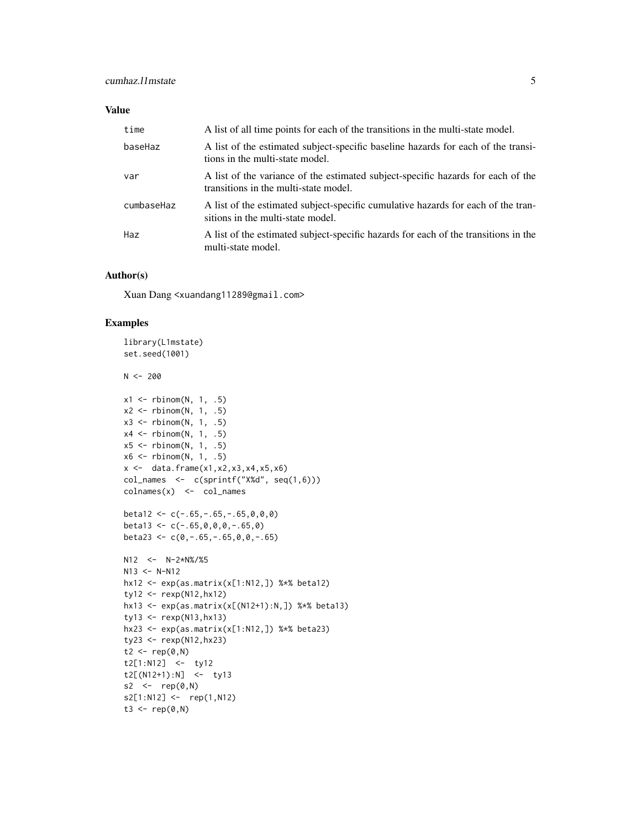# Value

| time       | A list of all time points for each of the transitions in the multi-state model.                                           |
|------------|---------------------------------------------------------------------------------------------------------------------------|
| baseHaz    | A list of the estimated subject-specific baseline hazards for each of the transi-<br>tions in the multi-state model.      |
| var        | A list of the variance of the estimated subject-specific hazards for each of the<br>transitions in the multi-state model. |
| cumbaseHaz | A list of the estimated subject-specific cumulative hazards for each of the tran-<br>sitions in the multi-state model.    |
| Haz        | A list of the estimated subject-specific hazards for each of the transitions in the<br>multi-state model.                 |

# Author(s)

Xuan Dang <xuandang11289@gmail.com>

```
library(L1mstate)
set.seed(1001)
N < -200x1 \leftarrow \text{rbinom}(N, 1, .5)x2 \le rbinom(N, 1, .5)
x3 \le- rbinom(N, 1, .5)
x4 \le- rbinom(N, 1, .5)
x5 \le rbinom(N, 1, .5)
x6 \le rbinom(N, 1, .5)
x \leftarrow \text{data-frame}(x1, x2, x3, x4, x5, x6)col\_names <- c(sprint(f''X%d'', seq(1,6)))colnames(x) <- col_names
beta12 < -c(-.65, -.65, -.65, 0, 0, 0)beta13 < -c(-.65, 0, 0, 0, -.65, 0)beta23 <- c(\emptyset, -.65, -.65, \emptyset, 0, -.65)N12 < - N-2*N\%/25N13 <- N-N12hx12 <- exp(as.matrix(x[1:N12,]) %*% beta12)
ty12 <- rexp(N12,hx12)
hx13 <- exp(as.matrix(x[(N12+1):N,]) %*% beta13)
ty13 <- rexp(N13,hx13)
hx23 <- exp(as.matrix(x[1:N12,]) %*% beta23)
ty23 <- rexp(N12,hx23)
t2 < -\text{rep}(0, N)t2[1:N12] <- ty12
t2[(N12+1):N] <- ty13
s2 \leftarrow rep(0,N)
s2[1:N12] <- rep(1,N12)
t3 <- rep(0, N)
```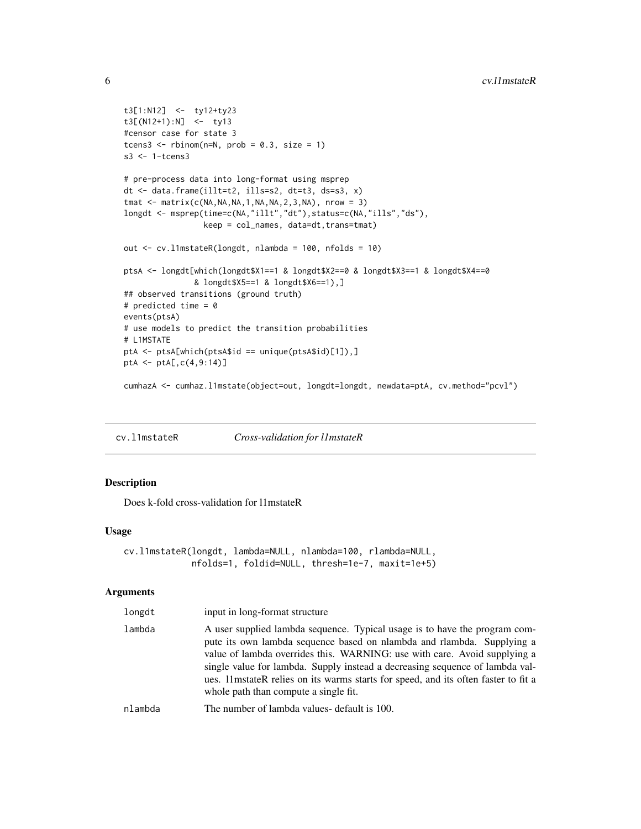```
t3[1:N12] <- ty12+ty23
t3[(N12+1):N] <- ty13
#censor case for state 3
tcens3 \le- rbinom(n=N, prob = 0.3, size = 1)
s3 <- 1-tcens3
# pre-process data into long-format using msprep
dt <- data.frame(illt=t2, ills=s2, dt=t3, ds=s3, x)
tmat \leq matrix(c(NA,NA,NA,1,NA,NA,2,3,NA), nrow = 3)
longdt <- msprep(time=c(NA,"illt","dt"),status=c(NA,"ills","ds"),
                 keep = col_names, data=dt,trans=tmat)
out <- cv.l1mstateR(longdt, nlambda = 100, nfolds = 10)
ptsA <- longdt[which(longdt$X1==1 & longdt$X2==0 & longdt$X3==1 & longdt$X4==0
               & longdt$X5==1 & longdt$X6==1),]
## observed transitions (ground truth)
# predicted time = 0
events(ptsA)
# use models to predict the transition probabilities
# L1MSTATE
ptA <- ptsA[which(ptsA$id == unique(ptsA$id)[1]),]
ptA <- ptA[,c(4,9:14)]
cumhazA <- cumhaz.l1mstate(object=out, longdt=longdt, newdata=ptA, cv.method="pcvl")
```
cv.l1mstateR *Cross-validation for l1mstateR*

# Description

Does k-fold cross-validation for l1mstateR

#### Usage

```
cv.l1mstateR(longdt, lambda=NULL, nlambda=100, rlambda=NULL,
             nfolds=1, foldid=NULL, thresh=1e-7, maxit=1e+5)
```
#### Arguments

| longdt  | input in long-format structure                                                                                                                                                                                                                                                                                                                                                                                                                     |
|---------|----------------------------------------------------------------------------------------------------------------------------------------------------------------------------------------------------------------------------------------------------------------------------------------------------------------------------------------------------------------------------------------------------------------------------------------------------|
| lambda  | A user supplied lambda sequence. Typical usage is to have the program com-<br>pute its own lambda sequence based on nlambda and rlambda. Supplying a<br>value of lambda overrides this. WARNING: use with care. Avoid supplying a<br>single value for lambda. Supply instead a decreasing sequence of lambda val-<br>ues. 11 mstate R relies on its warms starts for speed, and its often faster to fit a<br>whole path than compute a single fit. |
| nlambda | The number of lambda values- default is 100.                                                                                                                                                                                                                                                                                                                                                                                                       |

<span id="page-5-0"></span>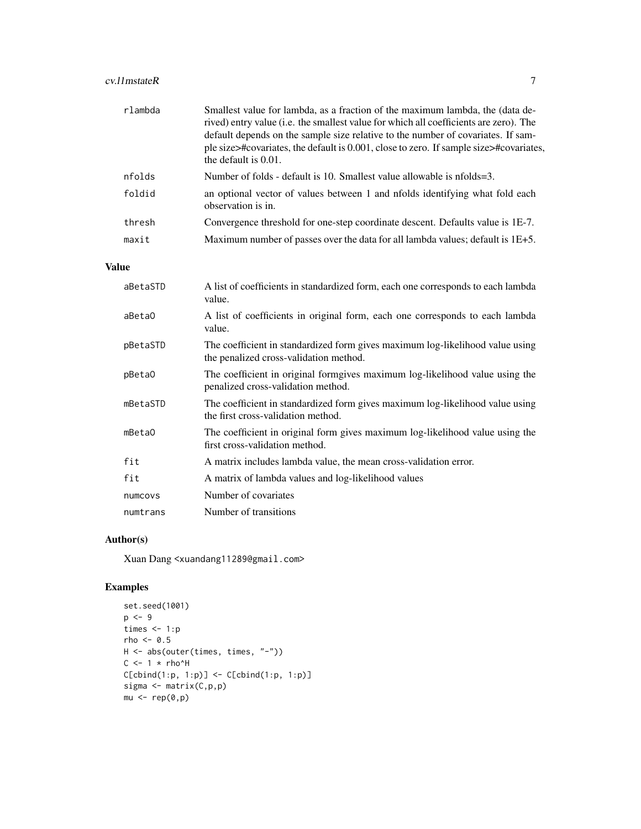# cv.l1mstateR 7

| rlambda | Smallest value for lambda, as a fraction of the maximum lambda, the (data de-<br>rived) entry value (i.e. the smallest value for which all coefficients are zero). The<br>default depends on the sample size relative to the number of covariates. If sam-<br>ple size>#covariates, the default is 0.001, close to zero. If sample size>#covariates,<br>the default is $0.01$ . |
|---------|---------------------------------------------------------------------------------------------------------------------------------------------------------------------------------------------------------------------------------------------------------------------------------------------------------------------------------------------------------------------------------|
| nfolds  | Number of folds - default is 10. Smallest value allowable is nfolds=3.                                                                                                                                                                                                                                                                                                          |
| foldid  | an optional vector of values between 1 and nfolds identifying what fold each<br>observation is in.                                                                                                                                                                                                                                                                              |
| thresh  | Convergence threshold for one-step coordinate descent. Defaults value is 1E-7.                                                                                                                                                                                                                                                                                                  |
| maxit   | Maximum number of passes over the data for all lambda values; default is 1E+5.                                                                                                                                                                                                                                                                                                  |

# Value

| aBetaSTD | A list of coefficients in standardized form, each one corresponds to each lambda<br>value.                              |
|----------|-------------------------------------------------------------------------------------------------------------------------|
| aBeta0   | A list of coefficients in original form, each one corresponds to each lambda<br>value.                                  |
| pBetaSTD | The coefficient in standardized form gives maximum log-likelihood value using<br>the penalized cross-validation method. |
| pBeta0   | The coefficient in original formgives maximum log-likelihood value using the<br>penalized cross-validation method.      |
| mBetaSTD | The coefficient in standardized form gives maximum log-likelihood value using<br>the first cross-validation method.     |
| mBeta0   | The coefficient in original form gives maximum log-likelihood value using the<br>first cross-validation method.         |
| fit      | A matrix includes lambda value, the mean cross-validation error.                                                        |
| fit      | A matrix of lambda values and log-likelihood values                                                                     |
| numcovs  | Number of covariates                                                                                                    |
| numtrans | Number of transitions                                                                                                   |

# Author(s)

Xuan Dang <xuandang11289@gmail.com>

```
set.seed(1001)
p <- 9
times <-1:prho <-0.5H <- abs(outer(times, times, "-"))
C < -1 * rho^H
C[cbind(1:p, 1:p)] \leftarrow C[cbind(1:p, 1:p)]sigma <- matrix(C,p,p)
mu < - rep(0,p)
```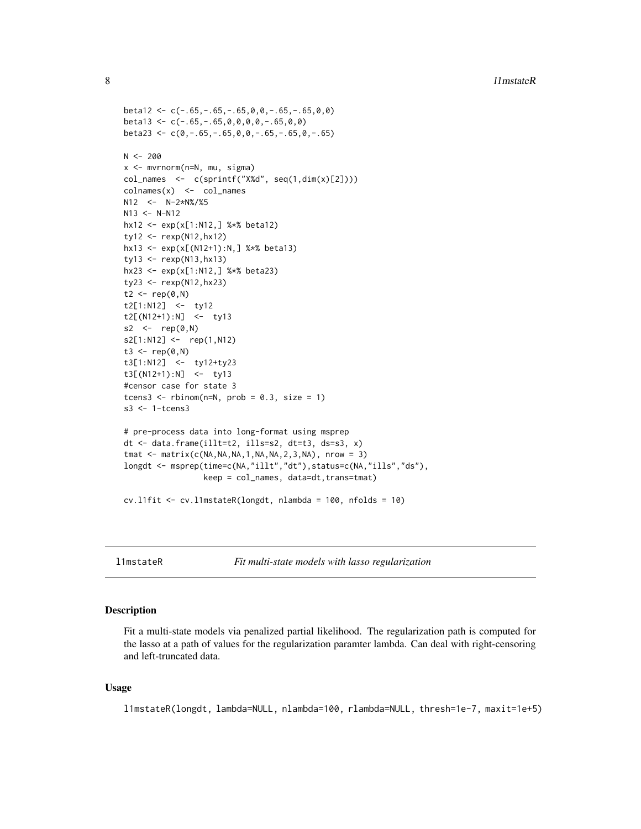```
beta12 \leq -c(-.65, -.65, -.65, 0, 0, -.65, -.65, 0, 0)beta13 <- c(-.65,-.65,0,0,0,0,-.65,0,0)
beta23 <- c(0,-.65,-.65,0,0,-.65,-.65,0,-.65)
N < -200x <- mvrnorm(n=N, mu, sigma)
col\_names <- c(sprint(f''X%d'', seq(1,dim(x)[2]))\text{colnames}(x) \leq \text{col_names}N12 <- N-2*N%/%5
N13 <- N-N12hx12 <- exp(x[1:N12,] %*% beta12)
ty12 <- rexp(N12,hx12)
hx13 <- exp(x[(N12+1):N,] %*% beta13)
ty13 \leftarrow \text{resp}(N13,hx13)hx23 <- exp(x[1:N12,] %*% beta23)
ty23 <- rexp(N12,hx23)
t2 < -rep(0, N)t2[1:N12] <- ty12
t2[(N12+1):N] <- ty13
s2 \le -\text{rep}(\emptyset, N)s2[1:N12] <- rep(1,N12)
t3 <- rep(0, N)t3[1:N12] <- ty12+ty23
t3[(N12+1):N] <- ty13
#censor case for state 3
tcens3 <- rbinom(n=N, prob = 0.3, size = 1)
s3 <- 1-tcens3
# pre-process data into long-format using msprep
dt <- data.frame(illt=t2, ills=s2, dt=t3, ds=s3, x)
tmat \leq matrix(c(NA,NA,NA,1,NA,NA,2,3,NA), nrow = 3)
longdt <- msprep(time=c(NA,"illt","dt"),status=c(NA,"ills","ds"),
                  keep = col_names, data=dt, trans=tmat)
cv.l1fit <- cv.l1mstateR(longdt, nlambda = 100, nfolds = 10)
```
l1mstateR *Fit multi-state models with lasso regularization*

#### Description

Fit a multi-state models via penalized partial likelihood. The regularization path is computed for the lasso at a path of values for the regularization paramter lambda. Can deal with right-censoring and left-truncated data.

#### Usage

l1mstateR(longdt, lambda=NULL, nlambda=100, rlambda=NULL, thresh=1e-7, maxit=1e+5)

<span id="page-7-0"></span>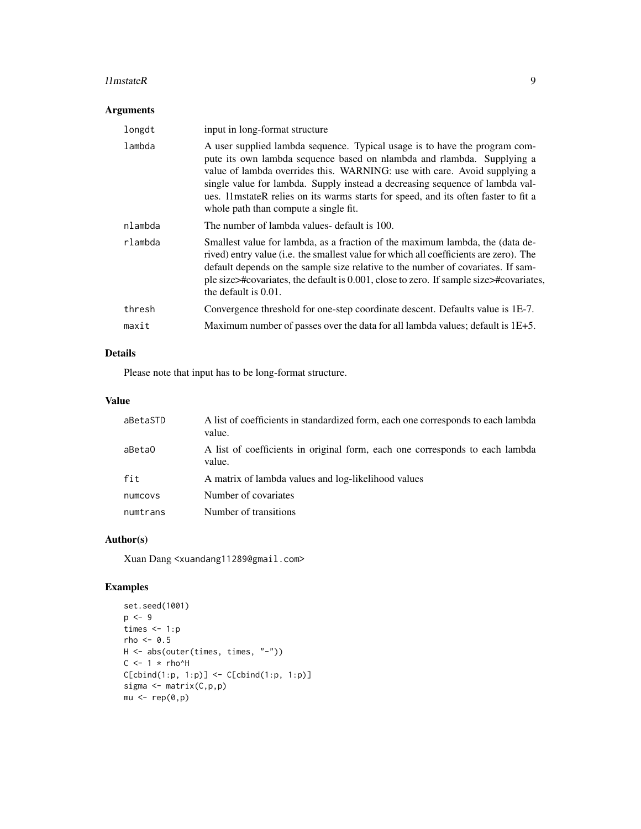#### l 11 mstateR 9

# Arguments

| longdt  | input in long-format structure                                                                                                                                                                                                                                                                                                                                                                                                                    |
|---------|---------------------------------------------------------------------------------------------------------------------------------------------------------------------------------------------------------------------------------------------------------------------------------------------------------------------------------------------------------------------------------------------------------------------------------------------------|
| lambda  | A user supplied lambda sequence. Typical usage is to have the program com-<br>pute its own lambda sequence based on nlambda and rlambda. Supplying a<br>value of lambda overrides this. WARNING: use with care. Avoid supplying a<br>single value for lambda. Supply instead a decreasing sequence of lambda val-<br>ues. 11 mstateR relies on its warms starts for speed, and its often faster to fit a<br>whole path than compute a single fit. |
| nlambda | The number of lambda values- default is 100.                                                                                                                                                                                                                                                                                                                                                                                                      |
| rlambda | Smallest value for lambda, as a fraction of the maximum lambda, the (data de-<br>rived) entry value (i.e. the smallest value for which all coefficients are zero). The<br>default depends on the sample size relative to the number of covariates. If sam-<br>ple size>#covariates, the default is 0.001, close to zero. If sample size>#covariates,<br>the default is 0.01.                                                                      |
| thresh  | Convergence threshold for one-step coordinate descent. Defaults value is 1E-7.                                                                                                                                                                                                                                                                                                                                                                    |
| maxit   | Maximum number of passes over the data for all lambda values; default is 1E+5.                                                                                                                                                                                                                                                                                                                                                                    |

# Details

Please note that input has to be long-format structure.

# Value

| aBetaSTD | A list of coefficients in standardized form, each one corresponds to each lambda<br>value. |
|----------|--------------------------------------------------------------------------------------------|
| aBeta0   | A list of coefficients in original form, each one corresponds to each lambda<br>value.     |
| fit      | A matrix of lambda values and log-likelihood values                                        |
| numcovs  | Number of covariates                                                                       |
| numtrans | Number of transitions                                                                      |

# Author(s)

Xuan Dang <xuandang11289@gmail.com>

```
set.seed(1001)
p \le -9times <-1:prho <-0.5H <- abs(outer(times, times, "-"))
C <- 1 * rho^H
C[cbind(1:p, 1:p)] \leftarrow C[cbind(1:p, 1:p)]sigma <- matrix(C,p,p)
mu < - rep(0,p)
```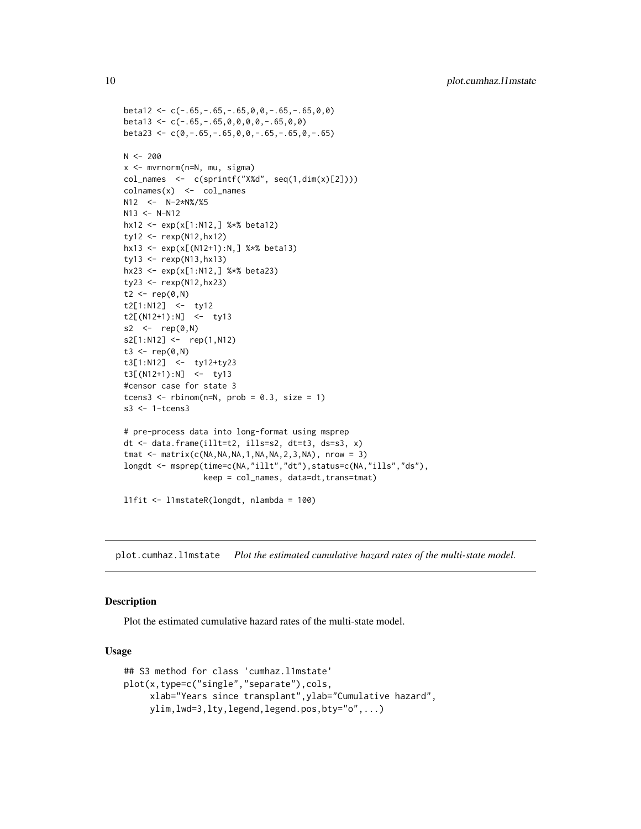```
beta12 \leq -c(-.65, -.65, -.65, 0, 0, -.65, -.65, 0, 0)beta13 <- c(-.65,-.65,0,0,0,0,-.65,0,0)
beta23 <- c(0,-.65,-.65,0,0,-.65,-.65,0,-.65)
N < -200x <- mvrnorm(n=N, mu, sigma)
col\_names <- c(sprint(f''X%d'', seq(1,dim(x)[2]))\text{colnames}(x) \leq \text{col_names}N12 <- N-2*N%/%5
N13 <- N-N12hx12 <- exp(x[1:N12,] %*% beta12)
ty12 <- rexp(N12,hx12)
hx13 <- exp(x[(N12+1):N,] %*% beta13)
ty13 \leftarrow \text{resp}(N13,hx13)hx23 <- exp(x[1:N12,] %*% beta23)
ty23 <- rexp(N12,hx23)
t2 < -rep(0, N)t2[1:N12] <- ty12
t2[(N12+1):N] <- ty13
s2 \le -\text{rep}(\emptyset, N)s2[1:N12] <- rep(1,N12)
t3 <- rep(0, N)t3[1:N12] <- ty12+ty23
t3[(N12+1):N] <- ty13
#censor case for state 3
tcens3 <- rbinom(n=N, prob = 0.3, size = 1)
s3 <- 1-tcens3
# pre-process data into long-format using msprep
dt <- data.frame(illt=t2, ills=s2, dt=t3, ds=s3, x)
tmat \leq matrix(c(NA,NA,NA,1,NA,NA,2,3,NA), nrow = 3)
longdt <- msprep(time=c(NA,"illt","dt"),status=c(NA,"ills","ds"),
                  keep = col_names, data=dt, trans=tmat)
l1fit <- l1mstateR(longdt, nlambda = 100)
```
plot.cumhaz.l1mstate *Plot the estimated cumulative hazard rates of the multi-state model.*

#### **Description**

Plot the estimated cumulative hazard rates of the multi-state model.

#### Usage

```
## S3 method for class 'cumhaz.l1mstate'
plot(x,type=c("single","separate"),cols,
     xlab="Years since transplant",ylab="Cumulative hazard",
     ylim,lwd=3,lty,legend,legend.pos,bty="o",...)
```
<span id="page-9-0"></span>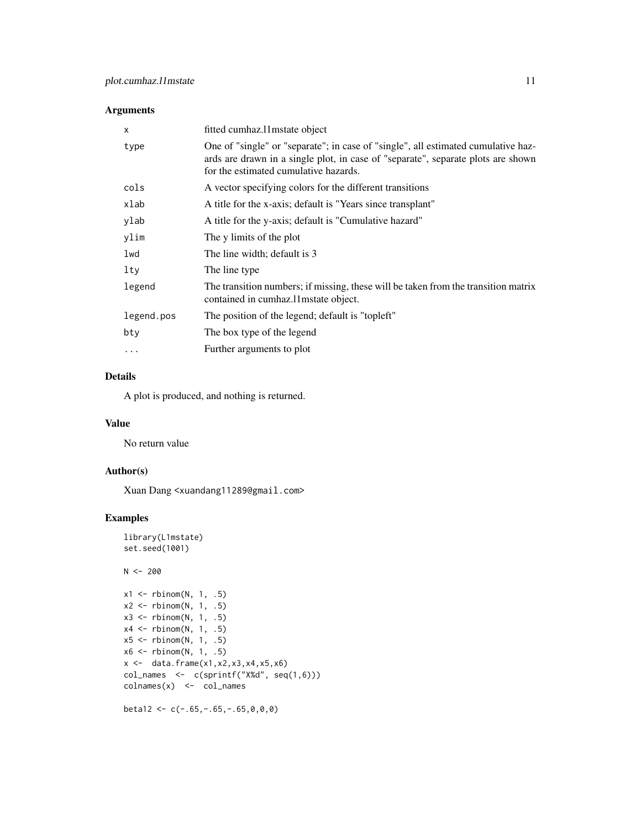#### Arguments

| fitted cumhaz.11 mstate object                                                                                                                                                                                 |
|----------------------------------------------------------------------------------------------------------------------------------------------------------------------------------------------------------------|
| One of "single" or "separate"; in case of "single", all estimated cumulative haz-<br>ards are drawn in a single plot, in case of "separate", separate plots are shown<br>for the estimated cumulative hazards. |
| A vector specifying colors for the different transitions                                                                                                                                                       |
| A title for the x-axis; default is "Years since transplant"                                                                                                                                                    |
| A title for the y-axis; default is "Cumulative hazard"                                                                                                                                                         |
| The y limits of the plot                                                                                                                                                                                       |
| The line width; default is 3                                                                                                                                                                                   |
| The line type                                                                                                                                                                                                  |
| The transition numbers; if missing, these will be taken from the transition matrix<br>contained in cumhaz.11 mstate object.                                                                                    |
| The position of the legend; default is "topleft"                                                                                                                                                               |
| The box type of the legend                                                                                                                                                                                     |
| Further arguments to plot                                                                                                                                                                                      |
|                                                                                                                                                                                                                |

# Details

A plot is produced, and nothing is returned.

#### Value

No return value

# Author(s)

Xuan Dang <xuandang11289@gmail.com>

# Examples

```
library(L1mstate)
set.seed(1001)
N < -200x1 \leftarrow \text{rbinom}(N, 1, .5)x2 \leq rbinom(N, 1, .5)
x3 \leftarrow \text{rbinom}(N, 1, .5)x4 \leftarrow \text{rbinom}(N, 1, .5)x5 \le rbinom(N, 1, .5)
x6 \le rbinom(N, 1, .5)
x \leftarrow \text{data-frame}(x1, x2, x3, x4, x5, x6)col_names <- c(sprintf("X%d", seq(1,6)))
\text{columns}(x) \leq \text{col\_names}
```
beta12 <-  $c(-.65, -.65, -.65, 0, 0, 0)$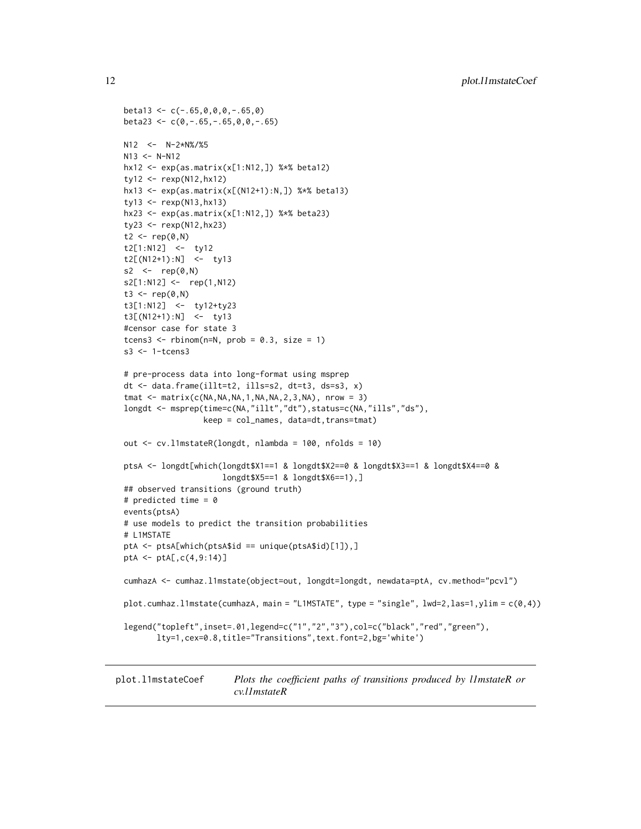```
beta13 < -c(-.65, 0, 0, 0, -.65, 0)beta23 <- c(0,-.65,-.65,0,0,-.65)
N12 <- N-2*N%/%5
N13 <- N-N12hx12 <- exp(as.matrix(x[1:N12,]) %*% beta12)
ty12 <- rexp(N12,hx12)
hx13 <- exp(as.matrix(x[(N12+1):N,]) %*% beta13)
ty13 \leftarrow \text{resp}(N13,hx13)hx23 <- exp(as.matrix(x[1:N12,]) %*% beta23)
ty23 <- rexp(N12,hx23)
t2 <- rep(0, N)t2[1:N12] <- ty12
t2[(N12+1):N] <- ty13
s2 \leftarrow rep(\emptyset, N)
s2[1:N12] <- rep(1,N12)
t3 <- rep(0, N)t3[1:N12] <- ty12+ty23
t3[(N12+1):N] <- ty13
#censor case for state 3
tcens3 <- rbinom(n=N, prob = 0.3, size = 1)
s3 <- 1-tcens3
# pre-process data into long-format using msprep
dt <- data.frame(illt=t2, ills=s2, dt=t3, ds=s3, x)
tmat \leq matrix(c(NA,NA,NA,1,NA,NA,2,3,NA), nrow = 3)
longdt <- msprep(time=c(NA,"illt","dt"),status=c(NA,"ills","ds"),
                 keep = col_names, data=dt,trans=tmat)
out <- cv.l1mstateR(longdt, nlambda = 100, nfolds = 10)
ptsA <- longdt[which(longdt$X1==1 & longdt$X2==0 & longdt$X3==1 & longdt$X4==0 &
                     longdt$X5==1 & longdt$X6==1),]
## observed transitions (ground truth)
# predicted time = \thetaevents(ptsA)
# use models to predict the transition probabilities
# L1MSTATE
ptA <- ptsA[which(ptsA$id == unique(ptsA$id)[1]),]
ptA <- ptA[,c(4,9:14)]
cumhazA <- cumhaz.l1mstate(object=out, longdt=longdt, newdata=ptA, cv.method="pcvl")
plot.cumhaz.l1mstate(cumhazA, main = "L1MSTATE", type = "single", lwd=2,las=1,ylim = c(0,4))
legend("topleft",inset=.01,legend=c("1","2","3"),col=c("black","red","green"),
       lty=1,cex=0.8,title="Transitions",text.font=2,bg='white')
```
plot.l1mstateCoef *Plots the coefficient paths of transitions produced by l1mstateR or cv.l1mstateR*

<span id="page-11-0"></span>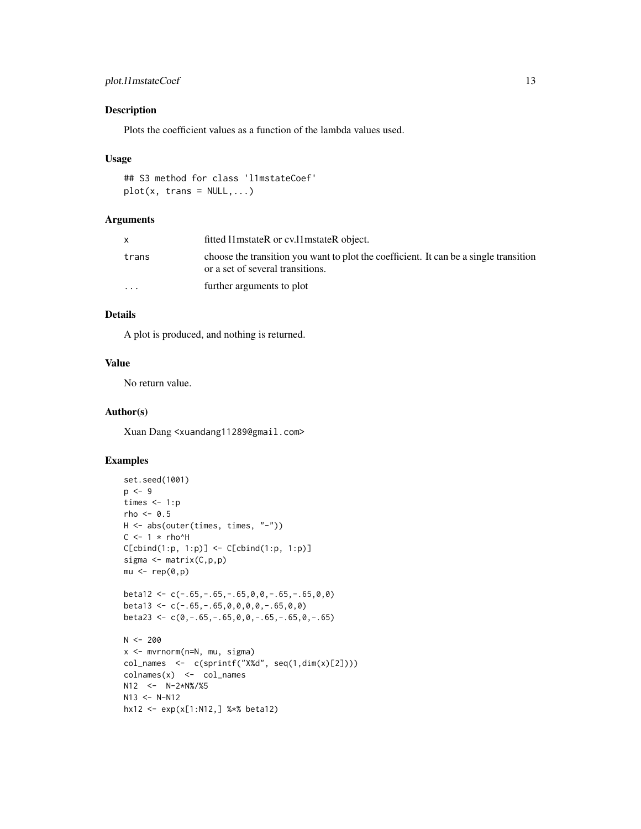# plot.11mstateCoef 13

# Description

Plots the coefficient values as a function of the lambda values used.

#### Usage

```
## S3 method for class 'l1mstateCoef'
plot(x, trans = NULL,...)
```
# Arguments

|                         | fitted 11 mstateR or cv.11 mstateR object.                                                                                |
|-------------------------|---------------------------------------------------------------------------------------------------------------------------|
| trans                   | choose the transition you want to plot the coefficient. It can be a single transition<br>or a set of several transitions. |
| $\cdot$ $\cdot$ $\cdot$ | further arguments to plot                                                                                                 |

# Details

A plot is produced, and nothing is returned.

# Value

No return value.

#### Author(s)

Xuan Dang <xuandang11289@gmail.com>

```
set.seed(1001)
p \le -9times <-1:prho <-0.5H <- abs(outer(times, times, "-"))
C \le -1 \times rho^H
C[cbind(1:p, 1:p)] \leftarrow C[cbind(1:p, 1:p)]sigma \leq matrix(C, p, p)
mu < - rep(0,p)beta12 <- c(-.65,-.65,-.65,0,0,-.65,-.65,0,0)
beta13 <- c(-.65,-.65,0,0,0,0,-.65,0,0)
beta23 <- c(0,-.65,-.65,0,0,-.65,-.65,0,-.65)
N < -200x <- mvrnorm(n=N, mu, sigma)
col_names <- c(sprintf("X%d", seq(1,dim(x)[2])))
\text{colnames}(x) \leq \text{col_names}N12 <- N-2*N%/%5
N13 <- N-N12hx12 <- exp(x[1:N12,] %*% beta12)
```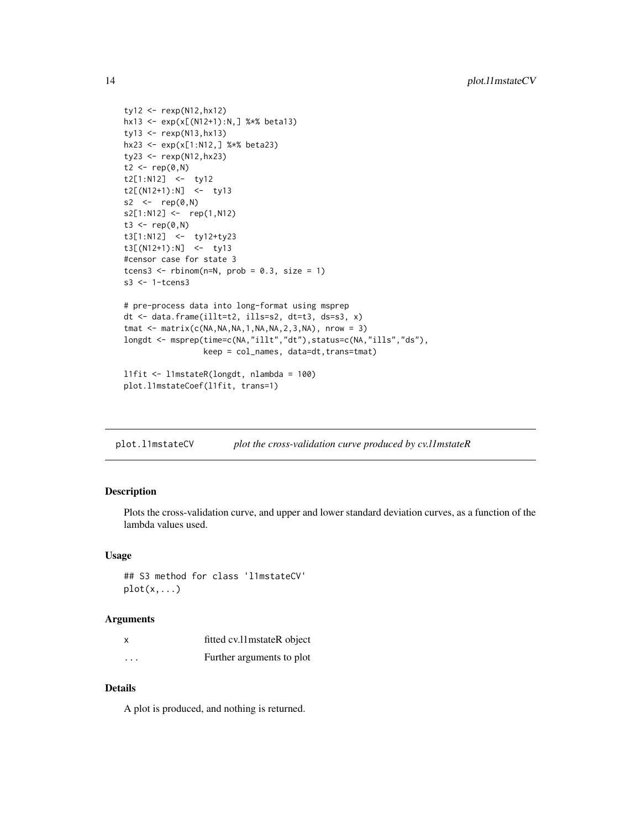```
ty12 <- rexp(N12,hx12)
hx13 <- exp(x[(N12+1):N,] %*% beta13)
ty13 <- rexp(N13,hx13)
hx23 <- exp(x[1:N12,] %*% beta23)
ty23 <- rexp(N12,hx23)
t2 < -rep(0, N)t2[1:N12] <- ty12
t2[(N12+1):N] <- ty13
s2 <- rep(0, N)s2[1:N12] <- rep(1,N12)
t3 <- rep(0, N)t3[1:N12] <- ty12+ty23
t3[(N12+1):N] <- ty13
#censor case for state 3
tcens3 <- rbinom(n=N, prob = 0.3, size = 1)
s3 <- 1-tcens3
# pre-process data into long-format using msprep
dt <- data.frame(illt=t2, ills=s2, dt=t3, ds=s3, x)
tmat \leq matrix(c(NA,NA,NA,1,NA,NA,2,3,NA), nrow = 3)
longdt <- msprep(time=c(NA,"illt","dt"),status=c(NA,"ills","ds"),
                 keep = col_names, data=dt,trans=tmat)
l1fit <- l1mstateR(longdt, nlambda = 100)
plot.l1mstateCoef(l1fit, trans=1)
```
plot.l1mstateCV *plot the cross-validation curve produced by cv.l1mstateR*

#### Description

Plots the cross-validation curve, and upper and lower standard deviation curves, as a function of the lambda values used.

#### Usage

## S3 method for class 'l1mstateCV'  $plot(x, \ldots)$ 

#### Arguments

|          | fitted cv.11 mstateR object |
|----------|-----------------------------|
| $\cdots$ | Further arguments to plot   |

#### Details

A plot is produced, and nothing is returned.

<span id="page-13-0"></span>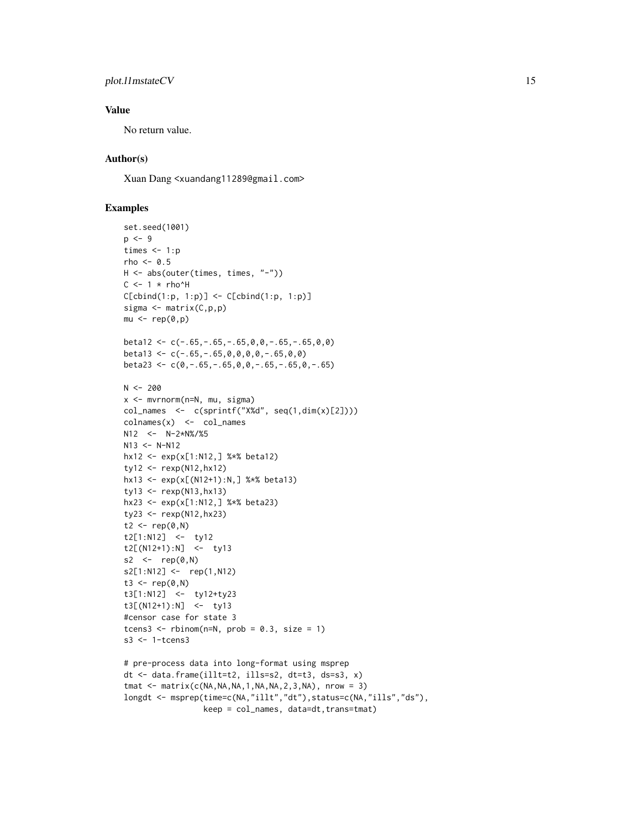# plot.11mstateCV 15

# Value

No return value.

# Author(s)

Xuan Dang <xuandang11289@gmail.com>

```
set.seed(1001)
p \le -9times <-1:prho <-0.5H <- abs(outer(times, times, "-"))
C \le -1 \times rho^H
C[cbind(1:p, 1:p)] \leftarrow C[cbind(1:p, 1:p)]sigma <- matrix(C,p,p)
mu < - rep(0,p)beta12 \leq -c(-.65, -.65, -.65, 0, 0, -.65, -.65, 0, 0)beta13 <- c(-.65,-.65,0,0,0,0,-.65,0,0)
beta23 <- c(0,-.65,-.65,0,0,-.65,-.65,0,-.65)
N < -200x <- mvrnorm(n=N, mu, sigma)
col\_names <- c(sprint(f''X%d'', seq(1,dim(x)[2]))\text{colnames}(x) \leq -\text{col_names}N12 <- N-2*N%/%5
N13 <- N-N12hx12 <- exp(x[1:N12,] %*% beta12)
ty12 <- rexp(N12,hx12)
hx13 <- exp(x[(N12+1):N,] %*% beta13)
ty13 \leq - rexp(N13, hx13)
hx23 <- exp(x[1:N12,] %*% beta23)
ty23 <- rexp(N12,hx23)
t2 < -\text{rep} (0, N)t2[1:N12] <- ty12
t2[(N12+1):N] <- ty13
s2 \leftarrow rep(0,N)
s2[1:N12] <- rep(1,N12)
t3 <- rep(0, N)t3[1:N12] <- ty12+ty23
t3[(N12+1):N] <- ty13
#censor case for state 3
tcens3 <- rbinom(n=N, prob = 0.3, size = 1)s3 <- 1-tcens3
# pre-process data into long-format using msprep
dt <- data.frame(illt=t2, ills=s2, dt=t3, ds=s3, x)
tmat \leq matrix(c(NA,NA,NA,1,NA,NA,2,3,NA), nrow = 3)
```

```
longdt <- msprep(time=c(NA,"illt","dt"),status=c(NA,"ills","ds"),
                 keep = col_names, data=dt, trans=tmat)
```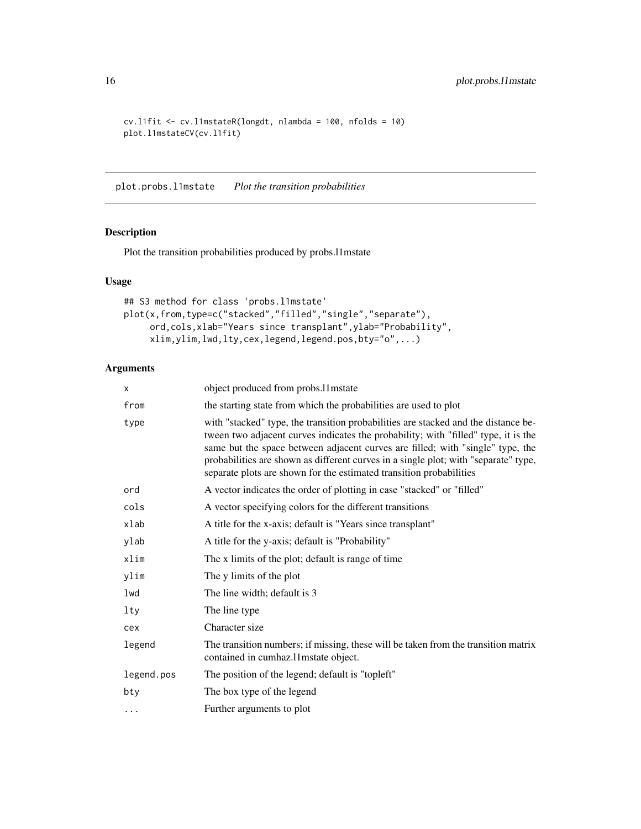```
cv.l1fit <- cv.l1mstateR(longdt, nlambda = 100, nfolds = 10)
plot.l1mstateCV(cv.l1fit)
```
plot.probs.l1mstate *Plot the transition probabilities*

# Description

Plot the transition probabilities produced by probs.l1mstate

# Usage

```
## S3 method for class 'probs.l1mstate'
plot(x,from,type=c("stacked","filled","single","separate"),
     ord,cols,xlab="Years since transplant",ylab="Probability",
     xlim,ylim,lwd,lty,cex,legend,legend.pos,bty="o",...)
```
# Arguments

| х          | object produced from probs.11 mstate                                                                                                                                                                                                                                                                                                                                                                                     |
|------------|--------------------------------------------------------------------------------------------------------------------------------------------------------------------------------------------------------------------------------------------------------------------------------------------------------------------------------------------------------------------------------------------------------------------------|
| from       | the starting state from which the probabilities are used to plot                                                                                                                                                                                                                                                                                                                                                         |
| type       | with "stacked" type, the transition probabilities are stacked and the distance be-<br>tween two adjacent curves indicates the probability; with "filled" type, it is the<br>same but the space between adjacent curves are filled; with "single" type, the<br>probabilities are shown as different curves in a single plot; with "separate" type,<br>separate plots are shown for the estimated transition probabilities |
| ord        | A vector indicates the order of plotting in case "stacked" or "filled"                                                                                                                                                                                                                                                                                                                                                   |
| cols       | A vector specifying colors for the different transitions                                                                                                                                                                                                                                                                                                                                                                 |
| xlab       | A title for the x-axis; default is "Years since transplant"                                                                                                                                                                                                                                                                                                                                                              |
| ylab       | A title for the y-axis; default is "Probability"                                                                                                                                                                                                                                                                                                                                                                         |
| xlim       | The x limits of the plot; default is range of time                                                                                                                                                                                                                                                                                                                                                                       |
| ylim       | The y limits of the plot                                                                                                                                                                                                                                                                                                                                                                                                 |
| lwd        | The line width; default is 3                                                                                                                                                                                                                                                                                                                                                                                             |
| lty        | The line type                                                                                                                                                                                                                                                                                                                                                                                                            |
| cex        | Character size                                                                                                                                                                                                                                                                                                                                                                                                           |
| legend     | The transition numbers; if missing, these will be taken from the transition matrix<br>contained in cumhaz.11 mstate object.                                                                                                                                                                                                                                                                                              |
| legend.pos | The position of the legend; default is "topleft"                                                                                                                                                                                                                                                                                                                                                                         |
| bty        | The box type of the legend                                                                                                                                                                                                                                                                                                                                                                                               |
| $\cdots$   | Further arguments to plot                                                                                                                                                                                                                                                                                                                                                                                                |

<span id="page-15-0"></span>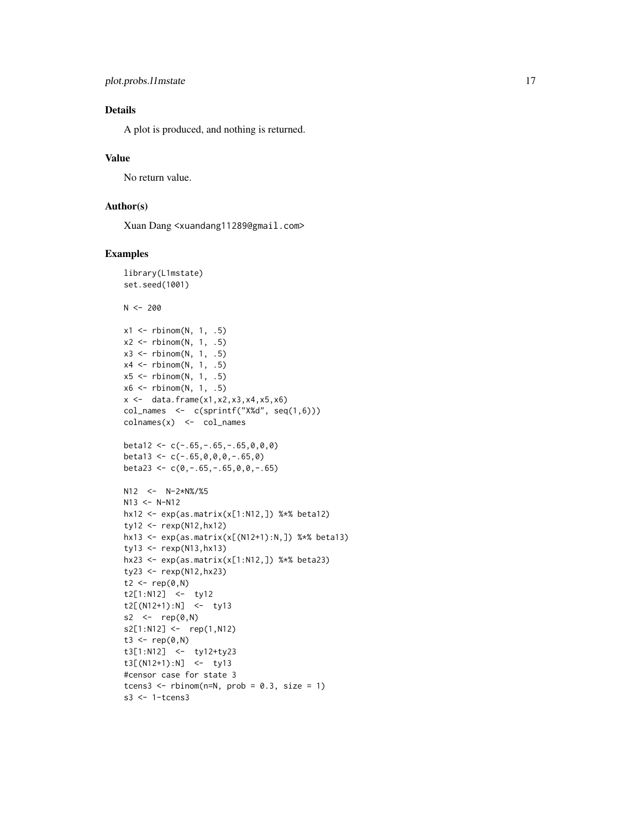# Details

A plot is produced, and nothing is returned.

# Value

No return value.

# Author(s)

Xuan Dang <xuandang11289@gmail.com>

```
library(L1mstate)
set.seed(1001)
N < -200x1 \leftarrow \text{rbinom}(N, 1, .5)x2 \le - rbinom(N, 1, .5)
x3 \le rbinom(N, 1, .5)
x4 \leftarrow \text{rbinom}(N, 1, .5)x5 \le rbinom(N, 1, .5)
x6 \le rbinom(N, 1, .5)
x \leftarrow \text{data-frame}(x1, x2, x3, x4, x5, x6)col\_names <- c(sprint(f''X%d'', seq(1,6)))colnames(x) <- col_names
beta12 < -c(-.65, -.65, -.65, 0, 0, 0)beta13 <- c(-.65,0,0,0,-.65,0)
beta23 <- c(\emptyset, -.65, -.65, \emptyset, 0, -.65)N12 < - N-2*N\%/25N13 <- N-N12hx12 <- exp(as.matrix(x[1:N12,]) %*% beta12)
ty12 <- rexp(N12,hx12)
hx13 <- exp(as.matrix(x[(N12+1):N,]) %*% beta13)
ty13 <- rexp(N13,hx13)
hx23 <- exp(as.matrix(x[1:N12,]) %*% beta23)
ty23 <- rexp(N12,hx23)
t2 < -\text{rep}(0, N)t2[1:N12] <- ty12
t2[(N12+1):N] <- ty13
s2 <- rep(0, N)s2[1:N12] <- rep(1,N12)
t3 <- rep(0, N)t3[1:N12] <- ty12+ty23
t3[(N12+1):N] <- ty13
#censor case for state 3
tcens3 <- rbinom(n=N, prob = 0.3, size = 1)
s3 <- 1-tcens3
```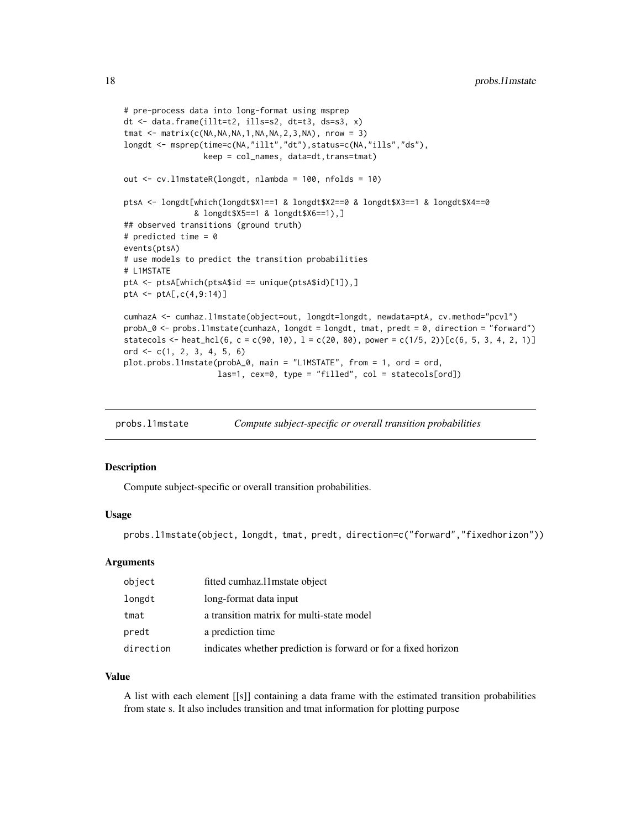```
# pre-process data into long-format using msprep
dt <- data.frame(illt=t2, ills=s2, dt=t3, ds=s3, x)
tmat \leq matrix(c(NA,NA,NA,1,NA,NA,2,3,NA), nrow = 3)
longdt <- msprep(time=c(NA,"illt","dt"),status=c(NA,"ills","ds"),
                 keep = col_names, data=dt, trans=tmat)
out <- cv.l1mstateR(longdt, nlambda = 100, nfolds = 10)
ptsA <- longdt[which(longdt$X1==1 & longdt$X2==0 & longdt$X3==1 & longdt$X4==0
               & longdt$X5==1 & longdt$X6==1),]
## observed transitions (ground truth)
# predicted time = 0
events(ptsA)
# use models to predict the transition probabilities
# L1MSTATE
ptA <- ptsA[which(ptsA$id == unique(ptsA$id)[1]),]
ptA <- ptA[,c(4,9:14)]
cumhazA <- cumhaz.l1mstate(object=out, longdt=longdt, newdata=ptA, cv.method="pcvl")
probA_0 <- probs.l1mstate(cumhazA, longdt = longdt, tmat, predt = 0, direction = "forward")
statecols <- heat_hcl(6, c = c(90, 10), l = c(20, 80), power = c(1/5, 2))[c(6, 5, 3, 4, 2, 1)]
ord \leq c(1, 2, 3, 4, 5, 6)plot.probs.l1mstate(probA_0, main = "L1MSTATE", from = 1, ord = ord,
                    las=1, cex=0, type = "filled", col = statecols[ord])
```
probs.l1mstate *Compute subject-specific or overall transition probabilities*

#### Description

Compute subject-specific or overall transition probabilities.

#### Usage

probs.l1mstate(object, longdt, tmat, predt, direction=c("forward","fixedhorizon"))

#### Arguments

| object    | fitted cumhaz.11 mstate object                                 |
|-----------|----------------------------------------------------------------|
| longdt    | long-format data input                                         |
| tmat      | a transition matrix for multi-state model                      |
| predt     | a prediction time                                              |
| direction | indicates whether prediction is forward or for a fixed horizon |

#### Value

A list with each element [[s]] containing a data frame with the estimated transition probabilities from state s. It also includes transition and tmat information for plotting purpose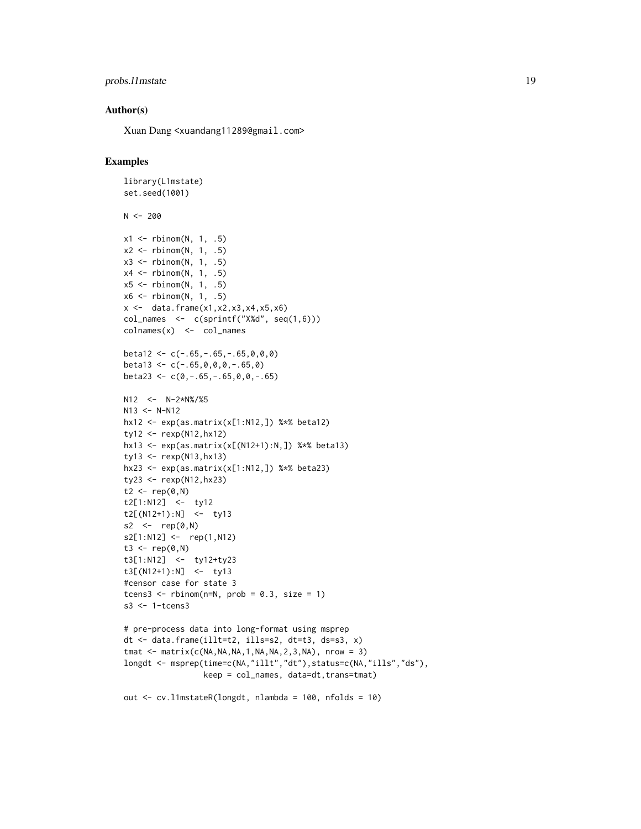# probs.11mstate 19

#### Author(s)

Xuan Dang <xuandang11289@gmail.com>

```
library(L1mstate)
set.seed(1001)
N < -200x1 \leftarrow \text{rbinom}(N, 1, .5)x2 \le - rbinom(N, 1, .5)
x3 \le rbinom(N, 1, .5)
x4 \le- rbinom(N, 1, .5)
x5 \le- rbinom(N, 1, .5)
x6 \le rbinom(N, 1, .5)
x \leftarrow \text{data-frame}(x1, x2, x3, x4, x5, x6)col\_names <- c(sprint(f''X%d'', seq(1,6)))colnames(x) <- col_names
beta12 \leq -c(-.65, -.65, -.65, 0, 0, 0)beta13 <- c(-.65,0,0,0,-.65,0)
beta23 \leq c(0,-.65,-.65,0,0,-.65)N12 <- N-2*N%/%5
N13 <- N-N12hx12 <- exp(as.matrix(x[1:N12,]) %*% beta12)
ty12 \le - rexp(N12, hx12)
hx13 <- exp(as.matrix(x[(N12+1):N,]) %*% beta13)
ty13 <- rexp(N13,hx13)
hx23 <- exp(as.matrix(x[1:N12,]) %*% beta23)
ty23 <- rexp(N12,hx23)
t2 \leq -rep(0, N)t2[1:N12] <- ty12
t2[(N12+1):N] <- ty13
s2 \le -\text{rep}(\emptyset, N)s2[1:N12] <- rep(1,N12)
t3 <- rep(\emptyset, N)t3[1:N12] <- ty12+ty23
t3[(N12+1):N] <- ty13
#censor case for state 3
tcens3 <- rbinom(n=N, prob = 0.3, size = 1)s3 <- 1-tcens3
# pre-process data into long-format using msprep
dt <- data.frame(illt=t2, ills=s2, dt=t3, ds=s3, x)
tmat \leq matrix(c(NA,NA,NA,1,NA,NA,2,3,NA), nrow = 3)
longdt <- msprep(time=c(NA,"illt","dt"),status=c(NA,"ills","ds"),
                  keep = col_names, data=dt,trans=tmat)
out <- cv.l1mstateR(longdt, nlambda = 100, nfolds = 10)
```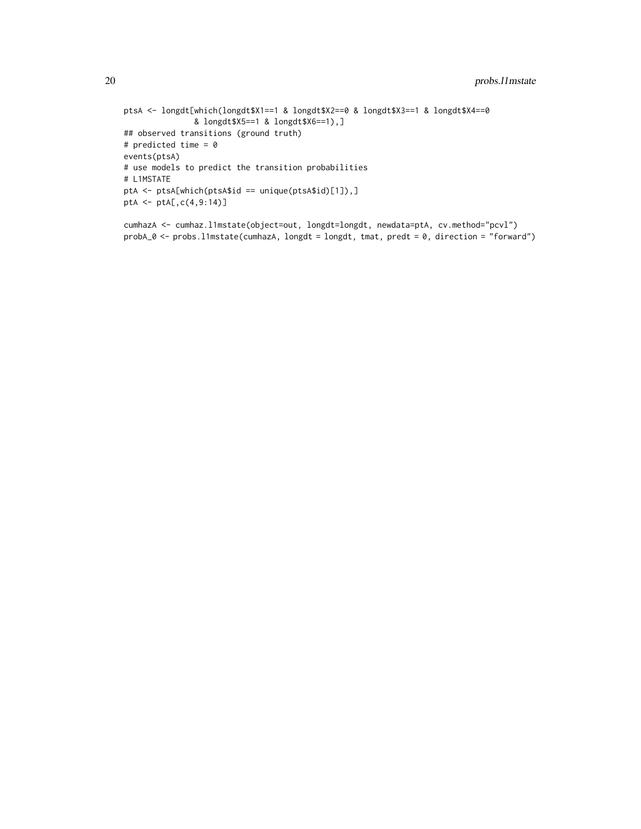```
ptsA <- longdt[which(longdt$X1==1 & longdt$X2==0 & longdt$X3==1 & longdt$X4==0
               & longdt$X5==1 & longdt$X6==1),]
## observed transitions (ground truth)
# predicted time = 0
events(ptsA)
# use models to predict the transition probabilities
# L1MSTATE
ptA <- ptsA[which(ptsA$id == unique(ptsA$id)[1]),]
ptA <- ptA[,c(4,9:14)]
```

```
cumhazA <- cumhaz.l1mstate(object=out, longdt=longdt, newdata=ptA, cv.method="pcvl")
probA_0 <- probs.l1mstate(cumhazA, longdt = longdt, tmat, predt = 0, direction = "forward")
```